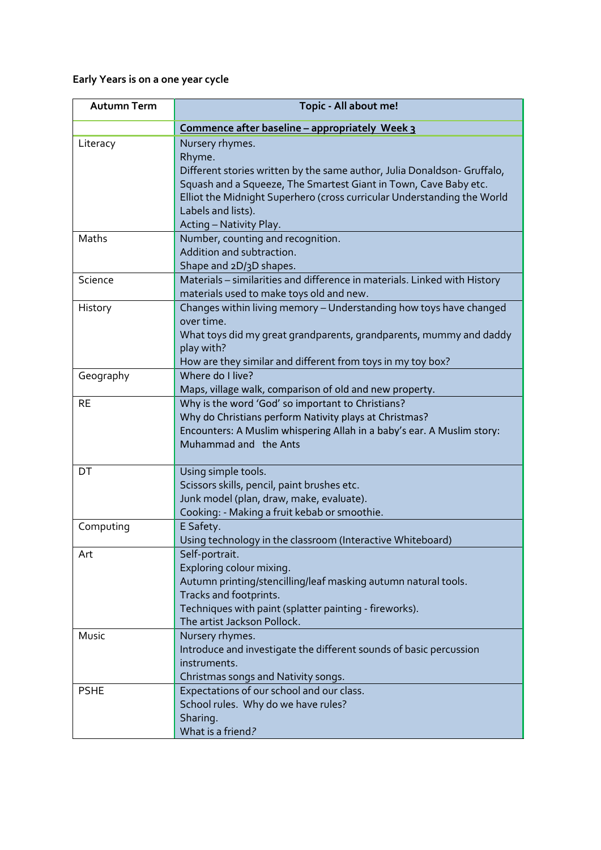## **Early Years is on a one year cycle**

| <b>Autumn Term</b> | Topic - All about me!                                                                                                                                                                                                                                                                                 |
|--------------------|-------------------------------------------------------------------------------------------------------------------------------------------------------------------------------------------------------------------------------------------------------------------------------------------------------|
|                    | Commence after baseline - appropriately Week 3                                                                                                                                                                                                                                                        |
| Literacy           | Nursery rhymes.<br>Rhyme.<br>Different stories written by the same author, Julia Donaldson- Gruffalo,<br>Squash and a Squeeze, The Smartest Giant in Town, Cave Baby etc.<br>Elliot the Midnight Superhero (cross curricular Understanding the World<br>Labels and lists).<br>Acting - Nativity Play. |
| Maths              | Number, counting and recognition.<br>Addition and subtraction.<br>Shape and 2D/3D shapes.                                                                                                                                                                                                             |
| Science            | Materials - similarities and difference in materials. Linked with History<br>materials used to make toys old and new.                                                                                                                                                                                 |
| History            | Changes within living memory - Understanding how toys have changed<br>over time.<br>What toys did my great grandparents, grandparents, mummy and daddy<br>play with?<br>How are they similar and different from toys in my toy box?                                                                   |
| Geography          | Where do I live?<br>Maps, village walk, comparison of old and new property.                                                                                                                                                                                                                           |
| <b>RE</b>          | Why is the word 'God' so important to Christians?<br>Why do Christians perform Nativity plays at Christmas?<br>Encounters: A Muslim whispering Allah in a baby's ear. A Muslim story:<br>Muhammad and the Ants                                                                                        |
| DT                 | Using simple tools.<br>Scissors skills, pencil, paint brushes etc.<br>Junk model (plan, draw, make, evaluate).<br>Cooking: - Making a fruit kebab or smoothie.                                                                                                                                        |
| Computing          | E Safety.<br>Using technology in the classroom (Interactive Whiteboard)                                                                                                                                                                                                                               |
| Art                | Self-portrait.<br>Exploring colour mixing.<br>Autumn printing/stencilling/leaf masking autumn natural tools.<br>Tracks and footprints.<br>Techniques with paint (splatter painting - fireworks).<br>The artist Jackson Pollock.                                                                       |
| Music              | Nursery rhymes.<br>Introduce and investigate the different sounds of basic percussion<br>instruments.<br>Christmas songs and Nativity songs.                                                                                                                                                          |
| <b>PSHE</b>        | Expectations of our school and our class.<br>School rules. Why do we have rules?<br>Sharing.<br>What is a friend?                                                                                                                                                                                     |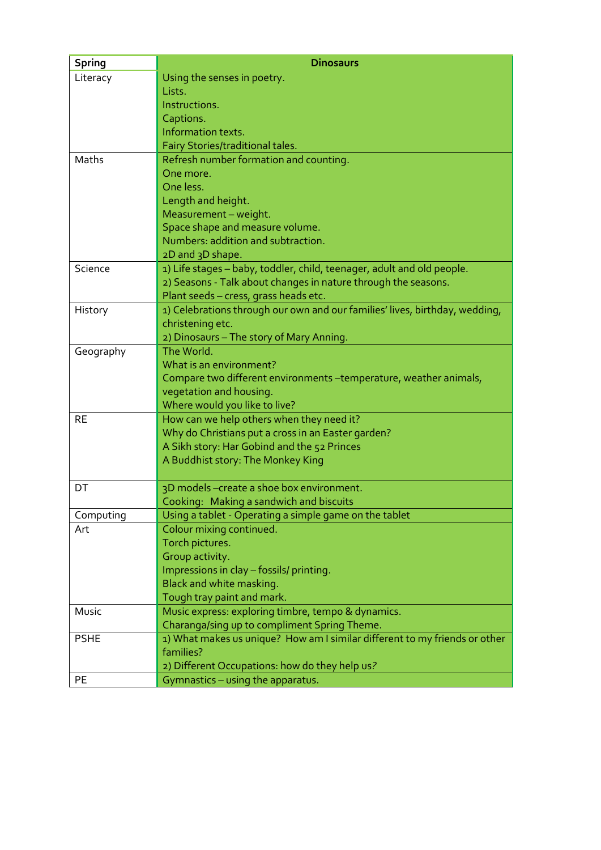| <b>Spring</b> | <b>Dinosaurs</b>                                                            |
|---------------|-----------------------------------------------------------------------------|
| Literacy      | Using the senses in poetry.                                                 |
|               | Lists.                                                                      |
|               | Instructions.                                                               |
|               | Captions.                                                                   |
|               | Information texts.                                                          |
|               | Fairy Stories/traditional tales.                                            |
| Maths         | Refresh number formation and counting.                                      |
|               | One more.                                                                   |
|               | One less.                                                                   |
|               | Length and height.                                                          |
|               | Measurement - weight.                                                       |
|               | Space shape and measure volume.                                             |
|               | Numbers: addition and subtraction.                                          |
|               | 2D and 3D shape.                                                            |
| Science       | 1) Life stages - baby, toddler, child, teenager, adult and old people.      |
|               | 2) Seasons - Talk about changes in nature through the seasons.              |
|               | Plant seeds - cress, grass heads etc.                                       |
| History       | 1) Celebrations through our own and our families' lives, birthday, wedding, |
|               | christening etc.                                                            |
|               | 2) Dinosaurs - The story of Mary Anning.                                    |
| Geography     | The World.                                                                  |
|               | What is an environment?                                                     |
|               | Compare two different environments -temperature, weather animals,           |
|               | vegetation and housing.                                                     |
|               | Where would you like to live?                                               |
| <b>RE</b>     | How can we help others when they need it?                                   |
|               | Why do Christians put a cross in an Easter garden?                          |
|               | A Sikh story: Har Gobind and the 52 Princes                                 |
|               | A Buddhist story: The Monkey King                                           |
|               |                                                                             |
| DT            | 3D models - create a shoe box environment.                                  |
|               | Cooking: Making a sandwich and biscuits                                     |
| Computing     | Using a tablet - Operating a simple game on the tablet                      |
| Art           | Colour mixing continued.                                                    |
|               | Torch pictures.                                                             |
|               | Group activity.                                                             |
|               | Impressions in clay - fossils/ printing.                                    |
|               | Black and white masking.                                                    |
|               | Tough tray paint and mark.                                                  |
| Music         | Music express: exploring timbre, tempo & dynamics.                          |
|               | Charanga/sing up to compliment Spring Theme.                                |
| <b>PSHE</b>   | 1) What makes us unique? How am I similar different to my friends or other  |
|               | families?                                                                   |
|               | 2) Different Occupations: how do they help us?                              |
| <b>PE</b>     | Gymnastics - using the apparatus.                                           |